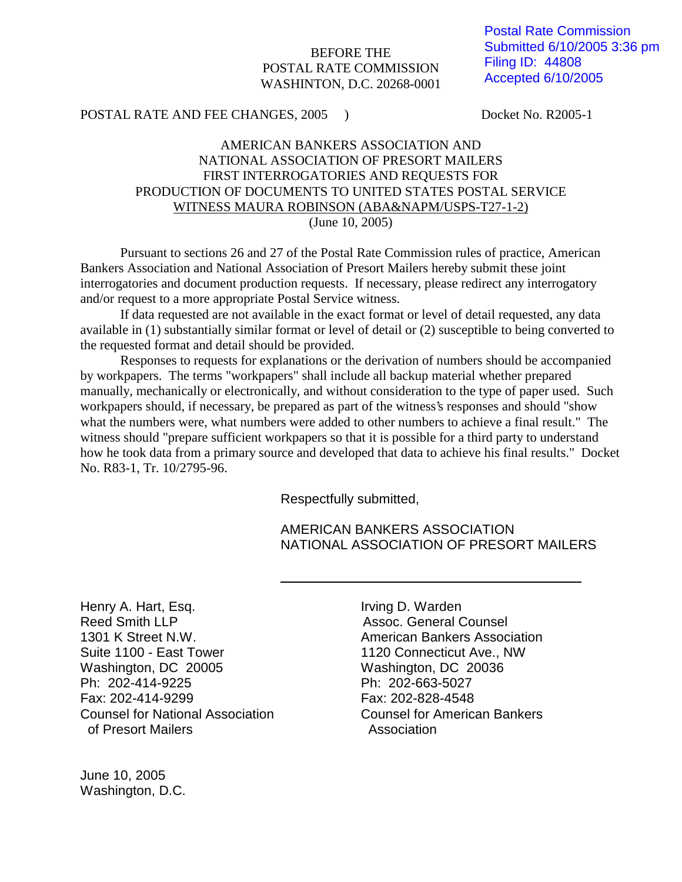#### BEFORE THE POSTAL RATE COMMISSION WASHINTON, D.C. 20268-0001

Postal Rate Commission Submitted 6/10/2005 3:36 pm Filing ID: 44808 Accepted 6/10/2005

#### POSTAL RATE AND FEE CHANGES, 2005 ) Docket No. R2005-1

## AMERICAN BANKERS ASSOCIATION AND NATIONAL ASSOCIATION OF PRESORT MAILERS FIRST INTERROGATORIES AND REQUESTS FOR PRODUCTION OF DOCUMENTS TO UNITED STATES POSTAL SERVICE WITNESS MAURA ROBINSON (ABA&NAPM/USPS-T27-1-2) (June 10, 2005)

Pursuant to sections 26 and 27 of the Postal Rate Commission rules of practice, American Bankers Association and National Association of Presort Mailers hereby submit these joint interrogatories and document production requests. If necessary, please redirect any interrogatory and/or request to a more appropriate Postal Service witness.

If data requested are not available in the exact format or level of detail requested, any data available in (1) substantially similar format or level of detail or (2) susceptible to being converted to the requested format and detail should be provided.

Responses to requests for explanations or the derivation of numbers should be accompanied by workpapers. The terms "workpapers" shall include all backup material whether prepared manually, mechanically or electronically, and without consideration to the type of paper used. Such workpapers should, if necessary, be prepared as part of the witness's responses and should "show what the numbers were, what numbers were added to other numbers to achieve a final result." The witness should "prepare sufficient workpapers so that it is possible for a third party to understand how he took data from a primary source and developed that data to achieve his final results." Docket No. R83-1, Tr. 10/2795-96.

Respectfully submitted,

AMERICAN BANKERS ASSOCIATION NATIONAL ASSOCIATION OF PRESORT MAILERS

Henry A. Hart, Esq. **In the Contract Contract Contract Contract Contract Contract Contract Contract Contract Contract Contract Contract Contract Contract Contract Contract Contract Contract Contract Contract Contract Contr** Reed Smith LLP **Assoc.** General Counsel 1301 K Street N.W. American Bankers Association Suite 1100 - East Tower 1120 Connecticut Ave., NW Washington, DC 20005 Washington, DC 20036 Ph: 202-414-9225 Ph: 202-663-5027 Fax: 202-414-9299 Fax: 202-828-4548 Counsel for National Association Counsel for American Bankers of Presort Mailers **Association** 

June 10, 2005 Washington, D.C.